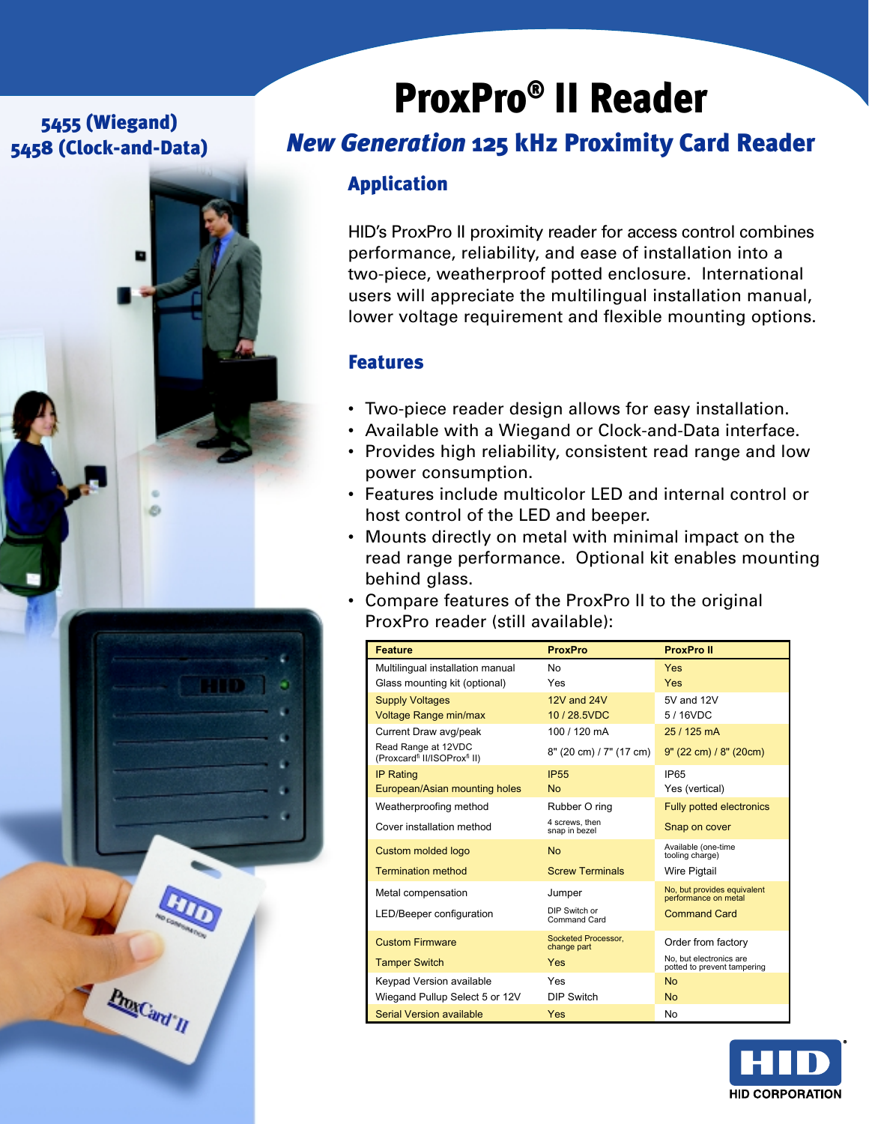## 5455 (Wiegand) 5458 (Clock-and-Data)



# ProxPro® II Reader

## *New Generation* 125 kHz Proximity Card Reader

## Application

HID's ProxPro II proximity reader for access control combines performance, reliability, and ease of installation into a two-piece, weatherproof potted enclosure. International users will appreciate the multilingual installation manual, lower voltage requirement and flexible mounting options.

### Features

- Two-piece reader design allows for easy installation.
- Available with a Wiegand or Clock-and-Data interface.
- Provides high reliability, consistent read range and low power consumption.
- Features include multicolor LED and internal control or host control of the LED and beeper.
- Mounts directly on metal with minimal impact on the read range performance. Optional kit enables mounting behind glass.
- Compare features of the ProxPro II to the original ProxPro reader (still available):

| <b>Feature</b>                                                              | <b>ProxPro</b>                     | <b>ProxPro II</b>                                      |
|-----------------------------------------------------------------------------|------------------------------------|--------------------------------------------------------|
| Multilingual installation manual                                            | No                                 | Yes                                                    |
| Glass mounting kit (optional)                                               | Yes                                | Yes                                                    |
| <b>Supply Voltages</b>                                                      | 12V and 24V                        | 5V and 12V                                             |
| <b>Voltage Range min/max</b>                                                | 10/28.5VDC                         | 5/16VDC                                                |
| Current Draw avg/peak                                                       | 100 / 120 mA                       | 25 / 125 mA                                            |
| Read Range at 12VDC<br>(Proxcard <sup>fi</sup> II/ISOProx <sup>fi</sup> II) | 8" (20 cm) / 7" (17 cm)            | $9"$ (22 cm) / $8"$ (20 cm)                            |
| <b>IP Rating</b>                                                            | <b>IP55</b>                        | IP <sub>65</sub>                                       |
| European/Asian mounting holes                                               | <b>No</b>                          | Yes (vertical)                                         |
| Weatherproofing method                                                      | Rubber O ring                      | <b>Fully potted electronics</b>                        |
| Cover installation method                                                   | 4 screws, then<br>snap in bezel    | Snap on cover                                          |
| Custom molded logo                                                          | <b>No</b>                          | Available (one-time<br>tooling charge)                 |
| <b>Termination method</b>                                                   | <b>Screw Terminals</b>             | <b>Wire Pigtail</b>                                    |
| Metal compensation                                                          | Jumper                             | No, but provides equivalent<br>performance on metal    |
| LED/Beeper configuration                                                    | DIP Switch or<br>Command Card      | <b>Command Card</b>                                    |
| <b>Custom Firmware</b>                                                      | Socketed Processor.<br>change part | Order from factory                                     |
| <b>Tamper Switch</b>                                                        | Yes                                | No. but electronics are<br>potted to prevent tampering |
| Keypad Version available                                                    | Yes                                | <b>No</b>                                              |
| Wiegand Pullup Select 5 or 12V                                              | <b>DIP Switch</b>                  | <b>No</b>                                              |
| Serial Version available                                                    | Yes                                | No                                                     |